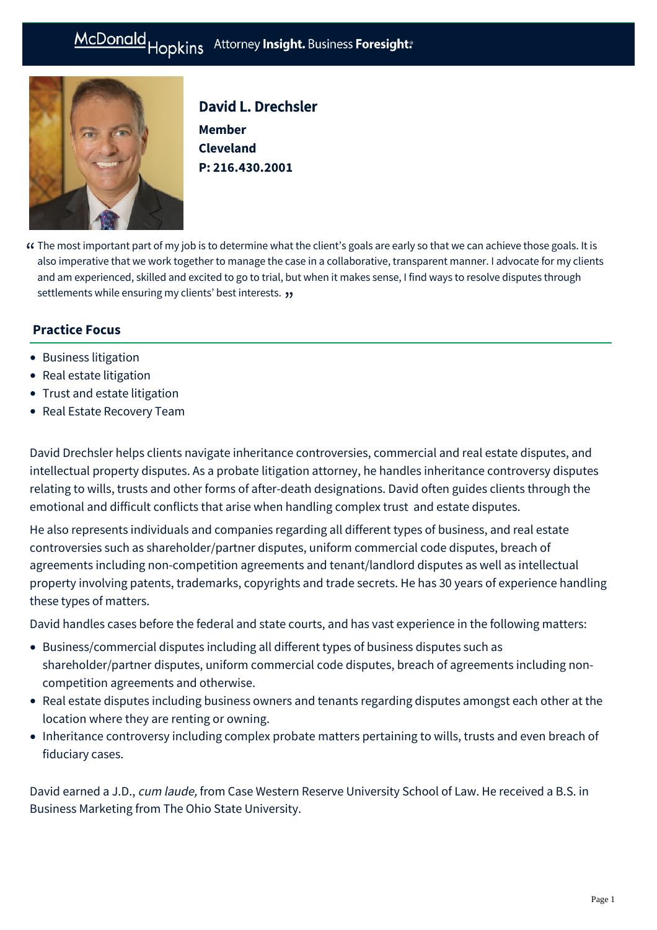# McDonald Hopkins Attorney Insight. Business Foresight:



David L. Drechsler **Member Cleveland P: [216.430.2001](tel:216.430.2001)**

The most important part of my job is to determine what the client's goals are early so that we can achieve those goals. It is " also imperative that we work together to manage the case in a collaborative, transparent manner. I advocate for my clients and am experienced, skilled and excited to go to trial, but when it makes sense, I find ways to resolve disputes through **settlements while ensuring my clients' best interests. 33** 

# **Practice Focus**

- [Business litigation](https://mcdonaldhopkins.com/Expertise/Litigation/Business-litigation)
- [Real estate litigation](https://mcdonaldhopkins.com/Expertise/Real-estate/Real-estate-litigation)
- [Trust and estate litigation](https://mcdonaldhopkins.com/Expertise/Estate-planning-and-probate/Trust-and-estate-litigation)
- [Real Estate Recovery Team](https://mcdonaldhopkins.com/Expertise/Real-estate/Real-Estate-Recovery-Team)

David Drechsler helps clients navigate inheritance controversies, commercial and real estate disputes, and intellectual property disputes. As a probate litigation attorney, he handles inheritance controversy disputes relating to wills, trusts and other forms of after-death designations. David often guides clients through the emotional and difficult conflicts that arise when handling complex trust and estate disputes.

He also represents individuals and companies regarding all different types of business, and real estate controversies such as shareholder/partner disputes, uniform commercial code disputes, breach of agreements including non-competition agreements and tenant/landlord disputes as well as intellectual property involving patents, trademarks, copyrights and trade secrets. He has 30 years of experience handling these types of matters.

David handles cases before the federal and state courts, and has vast experience in the following matters:

- Business/commercial disputes including all different types of business disputes such as shareholder/partner disputes, uniform commercial code disputes, breach of agreements including noncompetition agreements and otherwise.
- Real estate disputes including business owners and tenants regarding disputes amongst each other at the location where they are renting or owning.
- Inheritance controversy including complex probate matters pertaining to wills, trusts and even breach of fiduciary cases.

David earned a J.D., cum laude, from Case Western Reserve University School of Law. He received a B.S. in Business Marketing from The Ohio State University.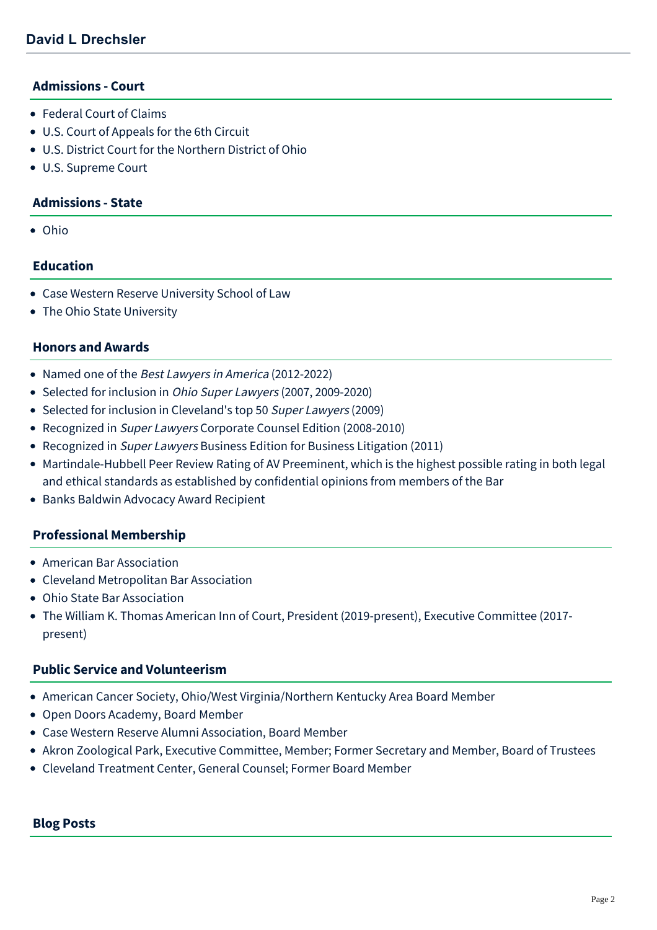#### **Admissions - Court**

- Federal Court of Claims
- U.S. Court of Appeals for the 6th Circuit
- U.S. District Court for the Northern District of Ohio
- U.S. Supreme Court

### **Admissions - State**

Ohio

### **Education**

- Case Western Reserve University School of Law
- The Ohio State University

#### **Honors and Awards**

- Named one of the Best Lawyers in America (2012-2022)
- Selected for inclusion in *Ohio Super Lawyers* (2007, 2009-2020)
- Selected for inclusion in Cleveland's top 50 Super Lawyers (2009)
- Recognized in Super Lawyers Corporate Counsel Edition (2008-2010)
- Recognized in Super Lawyers Business Edition for Business Litigation (2011)
- Martindale-Hubbell Peer Review Rating of AV Preeminent, which is the highest possible rating in both legal and ethical standards as established by confidential opinions from members of the Bar
- Banks Baldwin Advocacy Award Recipient

#### **Professional Membership**

- American Bar Association
- Cleveland Metropolitan Bar Association
- Ohio State Bar Association
- The William K. Thomas American Inn of Court, President (2019-present), Executive Committee (2017 present)

# **Public Service and Volunteerism**

- American Cancer Society, Ohio/West Virginia/Northern Kentucky Area Board Member
- Open Doors Academy, Board Member
- Case Western Reserve Alumni Association, Board Member
- Akron Zoological Park, Executive Committee, Member; Former Secretary and Member, Board of Trustees
- Cleveland Treatment Center, General Counsel; Former Board Member

# **Blog Posts**